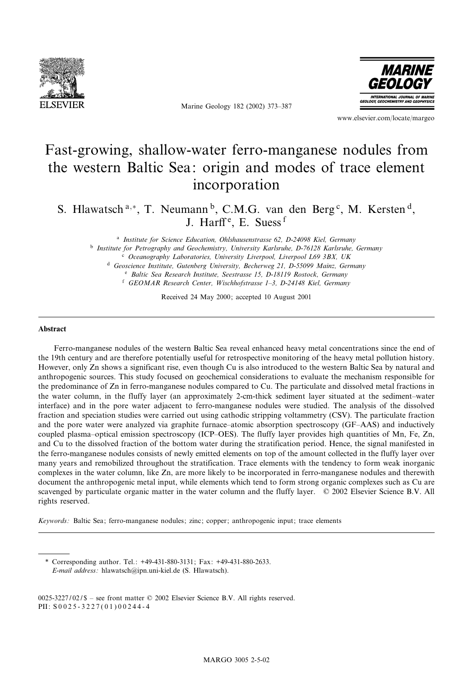

Marine Geology 182 (2002) 373-387



www.elsevier.com/locate/margeo

# Fast-growing, shallow-water ferro-manganese nodules from the western Baltic Sea: origin and modes of trace element incorporation

S. Hlawatsch<sup>a,\*</sup>, T. Neumann<sup>b</sup>, C.M.G. van den Berg<sup>c</sup>, M. Kersten<sup>d</sup>, J. Harff<sup>e</sup>, E. Suess<sup>f</sup>

<sup>a</sup> Institute for Science Education, Ohlshausenstrasse 62, D-24098 Kiel, Germany

<sup>b</sup> Institute for Petrography and Geochemistry, University Karlsruhe, D-76128 Karlsruhe, Germany

<sup>c</sup> Oceanography Laboratories, University Liverpool, Liverpool L69 3BX, UK

<sup>d</sup> Geoscience Institute, Gutenberg University, Becherweg 21, D-55099 Mainz, Germany

<sup>e</sup> Baltic Sea Research Institute, Seestrasse 15, D-18119 Rostock, Germany

<sup>f</sup> GEOMAR Research Center, Wischhofstrasse 1^3, D-24148 Kiel, Germany

Received 24 May 2000; accepted 10 August 2001

#### Abstract

Ferro-manganese nodules of the western Baltic Sea reveal enhanced heavy metal concentrations since the end of the 19th century and are therefore potentially useful for retrospective monitoring of the heavy metal pollution history. However, only Zn shows a significant rise, even though Cu is also introduced to the western Baltic Sea by natural and anthropogenic sources. This study focused on geochemical considerations to evaluate the mechanism responsible for the predominance of Zn in ferro-manganese nodules compared to Cu. The particulate and dissolved metal fractions in the water column, in the fluffy layer (an approximately 2-cm-thick sediment layer situated at the sediment^water interface) and in the pore water adjacent to ferro-manganese nodules were studied. The analysis of the dissolved fraction and speciation studies were carried out using cathodic stripping voltammetry (CSV). The particulate fraction and the pore water were analyzed via graphite furnace-atomic absorption spectroscopy (GF-AAS) and inductively coupled plasma-optical emission spectroscopy (ICP-OES). The fluffy layer provides high quantities of Mn, Fe, Zn, and Cu to the dissolved fraction of the bottom water during the stratification period. Hence, the signal manifested in the ferro-manganese nodules consists of newly emitted elements on top of the amount collected in the fluffy layer over many years and remobilized throughout the stratification. Trace elements with the tendency to form weak inorganic complexes in the water column, like Zn, are more likely to be incorporated in ferro-manganese nodules and therewith document the anthropogenic metal input, while elements which tend to form strong organic complexes such as Cu are scavenged by particulate organic matter in the water column and the fluffy layer. © 2002 Elsevier Science B.V. All rights reserved.

Keywords: Baltic Sea; ferro-manganese nodules; zinc; copper; anthropogenic input; trace elements

\* Corresponding author. Tel.: +49-431-880-3131; Fax: +49-431-880-2633. E-mail address: hlawatsch@ipn.uni-kiel.de (S. Hlawatsch).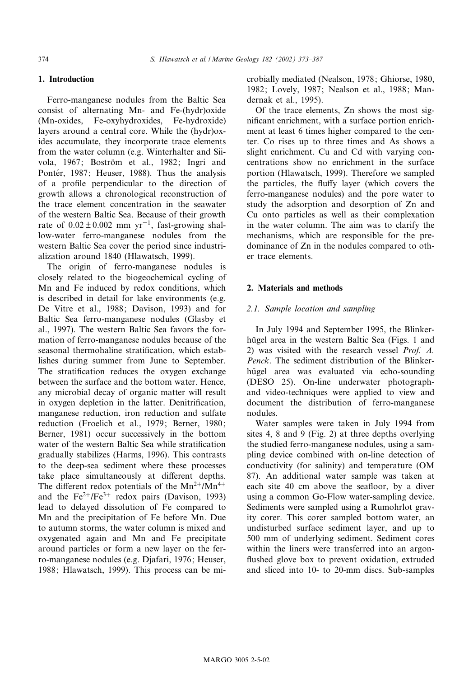# 1. Introduction

Ferro-manganese nodules from the Baltic Sea consist of alternating Mn- and Fe-(hydr)oxide (Mn-oxides, Fe-oxyhydroxides, Fe-hydroxide) layers around a central core. While the (hydr)oxides accumulate, they incorporate trace elements from the water column (e.g. Winterhalter and Siivola, 1967; Boström et al., 1982; Ingri and Pontér, 1987; Heuser, 1988). Thus the analysis of a pro¢le perpendicular to the direction of growth allows a chronological reconstruction of the trace element concentration in the seawater of the western Baltic Sea. Because of their growth rate of  $0.02 \pm 0.002$  mm yr<sup>-1</sup>, fast-growing shallow-water ferro-manganese nodules from the western Baltic Sea cover the period since industrialization around 1840 (Hlawatsch, 1999).

The origin of ferro-manganese nodules is closely related to the biogeochemical cycling of Mn and Fe induced by redox conditions, which is described in detail for lake environments (e.g. De Vitre et al., 1988; Davison, 1993) and for Baltic Sea ferro-manganese nodules (Glasby et al., 1997). The western Baltic Sea favors the formation of ferro-manganese nodules because of the seasonal thermohaline stratification, which establishes during summer from June to September. The stratification reduces the oxygen exchange between the surface and the bottom water. Hence, any microbial decay of organic matter will result in oxygen depletion in the latter. Denitrification, manganese reduction, iron reduction and sulfate reduction (Froelich et al., 1979; Berner, 1980; Berner, 1981) occur successively in the bottom water of the western Baltic Sea while stratification gradually stabilizes (Harms, 1996). This contrasts to the deep-sea sediment where these processes take place simultaneously at different depths. The different redox potentials of the  $Mn^{2+}/Mn^{4+}$ and the  $Fe^{2+}/Fe^{3+}$  redox pairs (Davison, 1993) lead to delayed dissolution of Fe compared to Mn and the precipitation of Fe before Mn. Due to autumn storms, the water column is mixed and oxygenated again and Mn and Fe precipitate around particles or form a new layer on the ferro-manganese nodules (e.g. Djafari, 1976; Heuser, 1988; Hlawatsch, 1999). This process can be microbially mediated (Nealson, 1978; Ghiorse, 1980, 1982; Lovely, 1987; Nealson et al., 1988; Mandernak et al., 1995).

Of the trace elements, Zn shows the most significant enrichment, with a surface portion enrichment at least 6 times higher compared to the center. Co rises up to three times and As shows a slight enrichment. Cu and Cd with varying concentrations show no enrichment in the surface portion (Hlawatsch, 1999). Therefore we sampled the particles, the fluffy layer (which covers the ferro-manganese nodules) and the pore water to study the adsorption and desorption of Zn and Cu onto particles as well as their complexation in the water column. The aim was to clarify the mechanisms, which are responsible for the predominance of Zn in the nodules compared to other trace elements.

## 2. Materials and methods

## 2.1. Sample location and sampling

In July 1994 and September 1995, the Blinkerhügel area in the western Baltic Sea (Figs. 1 and 2) was visited with the research vessel Prof. A. Penck. The sediment distribution of the Blinkerhügel area was evaluated via echo-sounding (DESO 25). On-line underwater photographand video-techniques were applied to view and document the distribution of ferro-manganese nodules.

Water samples were taken in July 1994 from sites 4, 8 and 9 (Fig. 2) at three depths overlying the studied ferro-manganese nodules, using a sampling device combined with on-line detection of conductivity (for salinity) and temperature (OM 87). An additional water sample was taken at each site 40 cm above the seafloor, by a diver using a common Go-Flow water-sampling device. Sediments were sampled using a Rumohrlot gravity corer. This corer sampled bottom water, an undisturbed surface sediment layer, and up to 500 mm of underlying sediment. Sediment cores within the liners were transferred into an argon flushed glove box to prevent oxidation, extruded and sliced into 10- to 20-mm discs. Sub-samples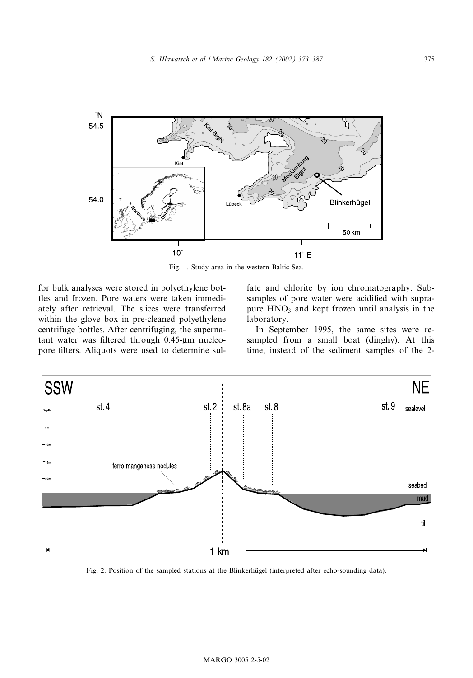

Fig. 1. Study area in the western Baltic Sea.

for bulk analyses were stored in polyethylene bottles and frozen. Pore waters were taken immediately after retrieval. The slices were transferred within the glove box in pre-cleaned polyethylene centrifuge bottles. After centrifuging, the supernatant water was filtered through 0.45-um nucleopore filters. Aliquots were used to determine sulfate and chlorite by ion chromatography. Subsamples of pore water were acidified with suprapure  $HNO<sub>3</sub>$  and kept frozen until analysis in the laboratory.

In September 1995, the same sites were resampled from a small boat (dinghy). At this time, instead of the sediment samples of the 2-



Fig. 2. Position of the sampled stations at the Blinkerhügel (interpreted after echo-sounding data).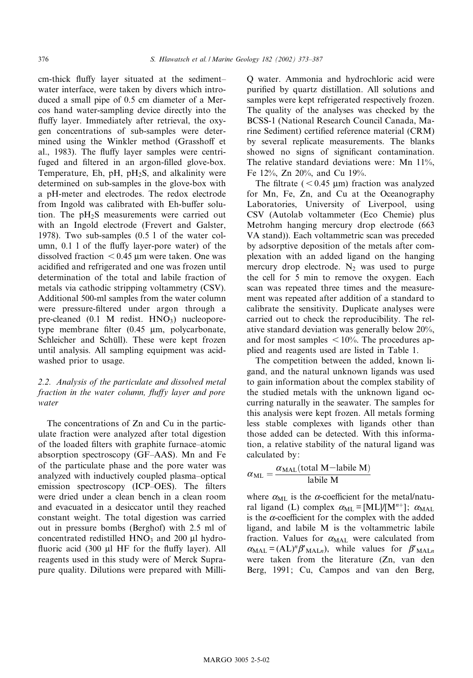cm-thick fluffy layer situated at the sedimentwater interface, were taken by divers which introduced a small pipe of 0.5 cm diameter of a Mercos hand water-sampling device directly into the fluffy layer. Immediately after retrieval, the oxygen concentrations of sub-samples were determined using the Winkler method (Grasshoff et al., 1983). The fluffy layer samples were centrifuged and filtered in an argon-filled glove-box. Temperature, Eh,  $pH$ ,  $pH_2S$ , and alkalinity were determined on sub-samples in the glove-box with a pH-meter and electrodes. The redox electrode from Ingold was calibrated with Eh-buffer solution. The  $pH_2S$  measurements were carried out with an Ingold electrode (Frevert and Galster, 1978). Two sub-samples (0.5 l of the water column, 0.1 1 of the fluffy layer-pore water) of the dissolved fraction  $< 0.45$  µm were taken. One was acidi¢ed and refrigerated and one was frozen until determination of the total and labile fraction of metals via cathodic stripping voltammetry (CSV). Additional 500-ml samples from the water column were pressure-filtered under argon through a pre-cleaned  $(0.1 \text{ M} \text{ redist. HNO}_3)$  nucleoporetype membrane filter (0.45 µm, polycarbonate, Schleicher and Schüll). These were kept frozen until analysis. All sampling equipment was acidwashed prior to usage.

# 2.2. Analysis of the particulate and dissolved metal fraction in the water column, fluffy layer and pore water

The concentrations of Zn and Cu in the particulate fraction were analyzed after total digestion of the loaded filters with graphite furnace-atomic absorption spectroscopy (GF^AAS). Mn and Fe of the particulate phase and the pore water was analyzed with inductively coupled plasma^optical emission spectroscopy (ICP-OES). The filters were dried under a clean bench in a clean room and evacuated in a desiccator until they reached constant weight. The total digestion was carried out in pressure bombs (Berghof) with 2.5 ml of concentrated redistilled  $HNO<sub>3</sub>$  and 200  $\mu$ l hydrofluoric acid  $(300 \mu I \text{HF}$  for the fluffy layer). All reagents used in this study were of Merck Suprapure quality. Dilutions were prepared with MilliQ water. Ammonia and hydrochloric acid were purified by quartz distillation. All solutions and samples were kept refrigerated respectively frozen. The quality of the analyses was checked by the BCSS-1 (National Research Council Canada, Marine Sediment) certified reference material (CRM) by several replicate measurements. The blanks showed no signs of significant contamination. The relative standard deviations were: Mn 11%, Fe 12%, Zn 20%, and Cu 19%.

The filtrate ( $< 0.45$  µm) fraction was analyzed for Mn, Fe, Zn, and Cu at the Oceanography Laboratories, University of Liverpool, using CSV (Autolab voltammeter (Eco Chemie) plus Metrohm hanging mercury drop electrode (663 VA stand)). Each voltammetric scan was preceded by adsorptive deposition of the metals after complexation with an added ligand on the hanging mercury drop electrode.  $N_2$  was used to purge the cell for 5 min to remove the oxygen. Each scan was repeated three times and the measurement was repeated after addition of a standard to calibrate the sensitivity. Duplicate analyses were carried out to check the reproducibility. The relative standard deviation was generally below 20%, and for most samples  $< 10\%$ . The procedures applied and reagents used are listed in Table 1.

The competition between the added, known ligand, and the natural unknown ligands was used to gain information about the complex stability of the studied metals with the unknown ligand occurring naturally in the seawater. The samples for this analysis were kept frozen. All metals forming less stable complexes with ligands other than those added can be detected. With this information, a relative stability of the natural ligand was calculated by:

$$
\alpha_{\rm ML} = \frac{\alpha_{\rm MAL}(\text{total M} - \text{label M})}{\text{label M}}
$$

where  $\alpha_{ML}$  is the  $\alpha$ -coefficient for the metal/natural ligand (L) complex  $\alpha_{ML} = [ML]/[M^{n+}]$ ;  $\alpha_{ML}$ is the  $\alpha$ -coefficient for the complex with the added ligand, and labile M is the voltammetric labile fraction. Values for  $\alpha_{\text{MAL}}$  were calculated from  $\alpha_{\text{MAL}} = (\text{AL})^n \beta'_{\text{MALn}}$ , while values for  $\beta'_{\text{MALn}}$ were taken from the literature (Zn, van den Berg, 1991; Cu, Campos and van den Berg,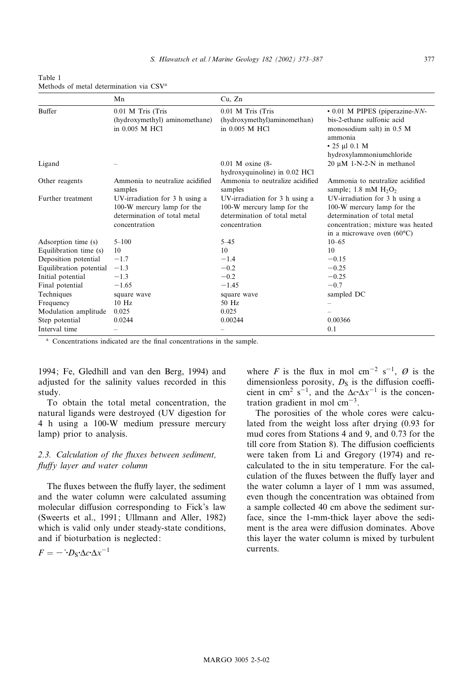|                         | Mn                                                                                                            | Cu, Zn                                                                                                        |                                                                                                                                                                          |
|-------------------------|---------------------------------------------------------------------------------------------------------------|---------------------------------------------------------------------------------------------------------------|--------------------------------------------------------------------------------------------------------------------------------------------------------------------------|
| <b>Buffer</b>           | 0.01 M Tris (Tris<br>(hydroxymethyl) aminomethane)<br>in 0.005 M HCl                                          | 0.01 M Tris (Tris<br>(hydroxymethyl)aminomethan)<br>in 0.005 M HCl                                            | $\cdot$ 0.01 M PIPES (piperazine- $NN$ -<br>bis-2-ethane sulfonic acid<br>monosodium salt) in 0.5 M<br>ammonia<br>$\cdot$ 25 µl 0.1 M<br>hydroxylammoniumchloride        |
| Ligand                  |                                                                                                               | $0.01$ M oxine $(8-$<br>hydroxyquinoline) in 0.02 HCl                                                         | 20 μM 1-N-2-N in methanol                                                                                                                                                |
| Other reagents          | Ammonia to neutralize acidified<br>samples                                                                    | Ammonia to neutralize acidified<br>samples                                                                    | Ammonia to neutralize acidified<br>sample; 1.8 mM $H_2O_2$                                                                                                               |
| Further treatment       | UV-irradiation for 3 h using a<br>100-W mercury lamp for the<br>determination of total metal<br>concentration | UV-irradiation for 3 h using a<br>100-W mercury lamp for the<br>determination of total metal<br>concentration | UV-irradiation for 3 h using a<br>100-W mercury lamp for the<br>determination of total metal<br>concentration; mixture was heated<br>in a microwave oven $(60^{\circ}C)$ |
| Adsorption time (s)     | $5 - 100$                                                                                                     | $5 - 45$                                                                                                      | $10 - 65$                                                                                                                                                                |
| Equilibration time (s)  | 10                                                                                                            | 10                                                                                                            | 10                                                                                                                                                                       |
| Deposition potential    | $-1.7$                                                                                                        | $-1.4$                                                                                                        | $-0.15$                                                                                                                                                                  |
| Equilibration potential | $-1.3$                                                                                                        | $-0.2$                                                                                                        | $-0.25$                                                                                                                                                                  |
| Initial potential       | $-1.3$                                                                                                        | $-0.2$                                                                                                        | $-0.25$                                                                                                                                                                  |
| Final potential         | $-1.65$                                                                                                       | $-1.45$                                                                                                       | $-0.7$                                                                                                                                                                   |
| Techniques              | square wave                                                                                                   | square wave                                                                                                   | sampled DC                                                                                                                                                               |
| Frequency               | $10$ Hz                                                                                                       | 50 Hz                                                                                                         |                                                                                                                                                                          |
| Modulation amplitude    | 0.025                                                                                                         | 0.025                                                                                                         |                                                                                                                                                                          |
| Step potential          | 0.0244                                                                                                        | 0.00244                                                                                                       | 0.00366                                                                                                                                                                  |
| Interval time           |                                                                                                               |                                                                                                               | 0.1                                                                                                                                                                      |

Table 1 Methods of metal determination via CSVa

<sup>a</sup> Concentrations indicated are the final concentrations in the sample.

1994; Fe, Gledhill and van den Berg, 1994) and adjusted for the salinity values recorded in this study.

To obtain the total metal concentration, the natural ligands were destroyed (UV digestion for 4 h using a 100-W medium pressure mercury lamp) prior to analysis.

# 2.3. Calculation of the fluxes between sediment, fluffy layer and water column

The fluxes between the fluffy layer, the sediment and the water column were calculated assuming molecular diffusion corresponding to Fick's law (Sweerts et al., 1991; Ullmann and Aller, 1982) which is valid only under steady-state conditions, and if bioturbation is neglected:

 $F = -{}^{3}D_{S} \Delta c \Delta x^{-1}$ 

where F is the flux in mol cm<sup>-2</sup> s<sup>-1</sup>,  $\emptyset$  is the dimensionless porosity,  $D<sub>S</sub>$  is the diffusion coefficient in cm<sup>2</sup> s<sup>-1</sup>, and the  $\Delta c \Delta x^{-1}$  is the concentration gradient in mol  $cm<sup>-3</sup>$ .

The porosities of the whole cores were calculated from the weight loss after drying (0.93 for mud cores from Stations 4 and 9, and 0.73 for the till core from Station 8). The diffusion coefficients were taken from Li and Gregory (1974) and recalculated to the in situ temperature. For the calculation of the fluxes between the fluffy layer and the water column a layer of 1 mm was assumed, even though the concentration was obtained from a sample collected 40 cm above the sediment surface, since the 1-mm-thick layer above the sediment is the area were diffusion dominates. Above this layer the water column is mixed by turbulent currents.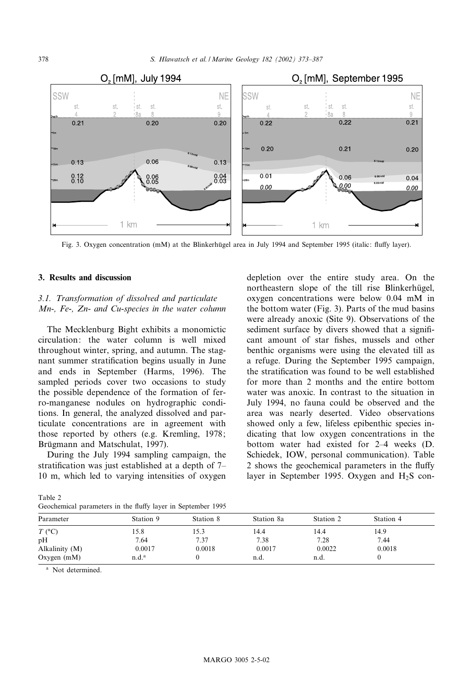

Fig. 3. Oxygen concentration (mM) at the Blinkerhügel area in July 1994 and September 1995 (italic: fluffy layer).

#### 3. Results and discussion

# 3.1. Transformation of dissolved and particulate Mn-, Fe-, Zn- and Cu-species in the water column

The Mecklenburg Bight exhibits a monomictic circulation: the water column is well mixed throughout winter, spring, and autumn. The stagnant summer stratification begins usually in June and ends in September (Harms, 1996). The sampled periods cover two occasions to study the possible dependence of the formation of ferro-manganese nodules on hydrographic conditions. In general, the analyzed dissolved and particulate concentrations are in agreement with those reported by others (e.g. Kremling, 1978; Brügmann and Matschulat, 1997).

During the July 1994 sampling campaign, the stratification was just established at a depth of  $7-$ 10 m, which led to varying intensities of oxygen

depletion over the entire study area. On the northeastern slope of the till rise Blinkerhügel, oxygen concentrations were below 0.04 mM in the bottom water (Fig. 3). Parts of the mud basins were already anoxic (Site 9). Observations of the sediment surface by divers showed that a significant amount of star fishes, mussels and other benthic organisms were using the elevated till as a refuge. During the September 1995 campaign, the stratification was found to be well established for more than 2 months and the entire bottom water was anoxic. In contrast to the situation in July 1994, no fauna could be observed and the area was nearly deserted. Video observations showed only a few, lifeless epibenthic species indicating that low oxygen concentrations in the bottom water had existed for 2^4 weeks (D. Schiedek, IOW, personal communication). Table 2 shows the geochemical parameters in the fluffy layer in September 1995. Oxygen and  $H_2S$  con-

Table 2 Geochemical parameters in the fluffy layer in September 1995

| Parameter      | Station 9         | Station 8 | Station 8a | Station 2 | Station 4 |  |
|----------------|-------------------|-----------|------------|-----------|-----------|--|
| $T$ (°C)       | 15.8              | 15.3      | 14.4       | 14.4      | 14.9      |  |
| pH             | 7.64              | 7.37      | 7.38       | 7.28      | 7.44      |  |
| Alkalinity (M) | 0.0017            | 0.0018    | 0.0017     | 0.0022    | 0.0018    |  |
| Oxygen $(mM)$  | n.d. <sup>a</sup> |           | n.d.       | n.d.      |           |  |

<sup>a</sup> Not determined.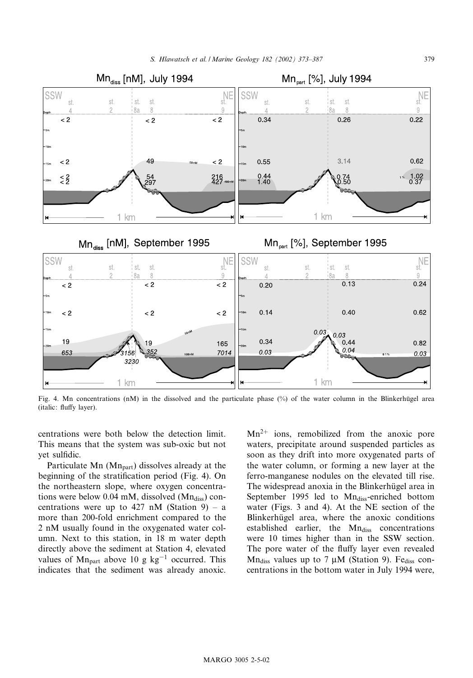

Fig. 4. Mn concentrations (nM) in the dissolved and the particulate phase  $(\%)$  of the water column in the Blinkerhügel area (italic: fluffy layer).

centrations were both below the detection limit. This means that the system was sub-oxic but not yet sulfidic.

Particulate Mn  $(Mn<sub>part</sub>)$  dissolves already at the beginning of the stratification period (Fig. 4). On the northeastern slope, where oxygen concentrations were below 0.04 mM, dissolved  $(Mn_{diss})$  concentrations were up to 427 nM (Station 9)  $-$  a more than 200-fold enrichment compared to the 2 nM usually found in the oxygenated water column. Next to this station, in 18 m water depth directly above the sediment at Station 4, elevated values of  $Mn_{part}$  above 10 g kg<sup>-1</sup> occurred. This indicates that the sediment was already anoxic.

 $Mn^{2+}$  ions, remobilized from the anoxic pore waters, precipitate around suspended particles as soon as they drift into more oxygenated parts of the water column, or forming a new layer at the ferro-manganese nodules on the elevated till rise. The widespread anoxia in the Blinkerhügel area in September 1995 led to Mn<sub>diss</sub>-enriched bottom water (Figs. 3 and 4). At the NE section of the Blinkerhügel area, where the anoxic conditions established earlier, the Mn<sub>diss</sub> concentrations were 10 times higher than in the SSW section. The pore water of the fluffy layer even revealed Mn<sub>diss</sub> values up to 7  $\mu$ M (Station 9). Fe<sub>diss</sub> concentrations in the bottom water in July 1994 were,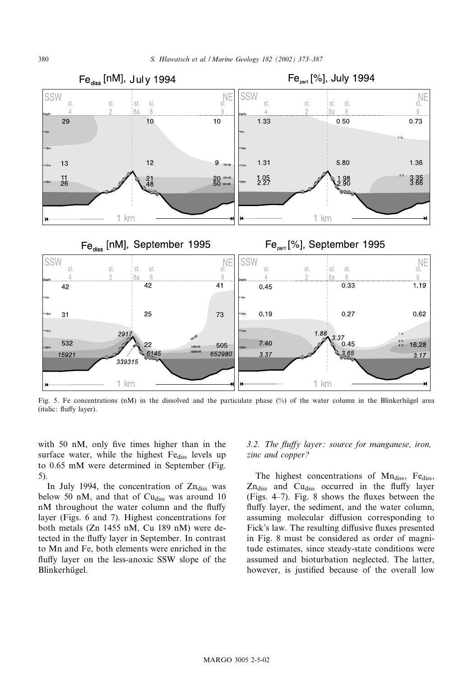

Fig. 5. Fe concentrations (nM) in the dissolved and the particulate phase  $(\%)$  of the water column in the Blinkerhügel area (italic: fluffy layer).

with 50 nM, only five times higher than in the surface water, while the highest Fe<sub>diss</sub> levels up to 0.65 mM were determined in September (Fig. 5).

In July 1994, the concentration of  $Zn_{diss}$  was below 50 nM, and that of  $Cu<sub>diss</sub>$  was around 10 nM throughout the water column and the fluffy layer (Figs. 6 and 7). Highest concentrations for both metals (Zn 1455 nM, Cu 189 nM) were detected in the fluffy layer in September. In contrast to Mn and Fe, both elements were enriched in the fluffy layer on the less-anoxic SSW slope of the Blinkerhügel.

## 3.2. The fluffy layer: source for manganese, iron, zinc and copper ?

The highest concentrations of  $Mn_{diss}$ , Fe $_{diss}$ ,  $Zn_{diss}$  and  $Cu_{diss}$  occurred in the fluffy layer (Figs.  $4-7$ ). Fig. 8 shows the fluxes between the fluffy layer, the sediment, and the water column, assuming molecular diffusion corresponding to Fick's law. The resulting diffusive fluxes presented in Fig. 8 must be considered as order of magnitude estimates, since steady-state conditions were assumed and bioturbation neglected. The latter, however, is justified because of the overall low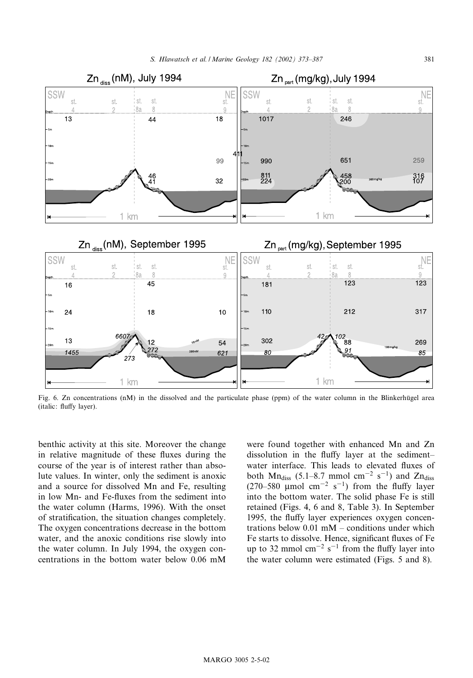

Fig. 6. Zn concentrations (nM) in the dissolved and the particulate phase (ppm) of the water column in the Blinkerhügel area (italic: fluffy layer).

benthic activity at this site. Moreover the change in relative magnitude of these fluxes during the course of the year is of interest rather than absolute values. In winter, only the sediment is anoxic and a source for dissolved Mn and Fe, resulting in low Mn- and Fe-fluxes from the sediment into the water column (Harms, 1996). With the onset of stratification, the situation changes completely. The oxygen concentrations decrease in the bottom water, and the anoxic conditions rise slowly into the water column. In July 1994, the oxygen concentrations in the bottom water below 0.06 mM

were found together with enhanced Mn and Zn dissolution in the fluffy layer at the sedimentwater interface. This leads to elevated fluxes of both Mn<sub>diss</sub> (5.1–8.7 mmol cm<sup>-2</sup> s<sup>-1</sup>) and Zn<sub>diss</sub> (270–580 µmol cm<sup>-2</sup> s<sup>-1</sup>) from the fluffy layer into the bottom water. The solid phase Fe is still retained (Figs. 4, 6 and 8, Table 3). In September 1995, the fluffy layer experiences oxygen concentrations below  $0.01 \text{ mM}$  – conditions under which Fe starts to dissolve. Hence, significant fluxes of Fe up to 32 mmol  $cm^{-2}$  s<sup>-1</sup> from the fluffy layer into the water column were estimated (Figs. 5 and 8).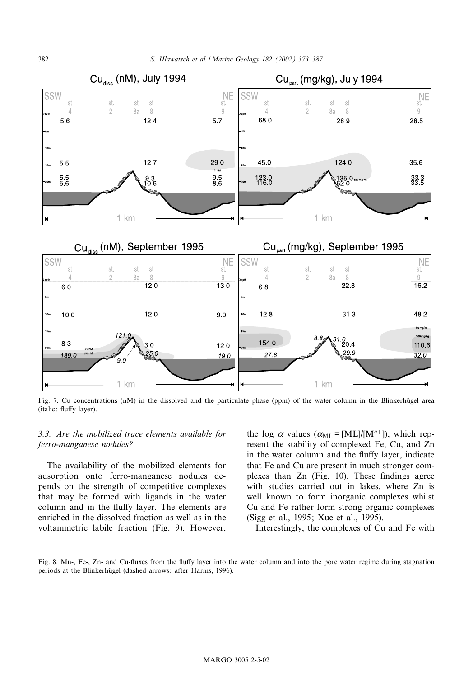

Fig. 7. Cu concentrations  $(mM)$  in the dissolved and the particulate phase (ppm) of the water column in the Blinkerhügel area (italic: fluffy layer).

## 3.3. Are the mobilized trace elements available for ferro-manganese nodules?

The availability of the mobilized elements for adsorption onto ferro-manganese nodules depends on the strength of competitive complexes that may be formed with ligands in the water column and in the fluffy layer. The elements are enriched in the dissolved fraction as well as in the voltammetric labile fraction (Fig. 9). However,

the log  $\alpha$  values ( $\alpha_{ML} = [ML]/[M^{n+}]$ ), which represent the stability of complexed Fe, Cu, and Zn in the water column and the fluffy layer, indicate that Fe and Cu are present in much stronger complexes than  $Zn$  (Fig. 10). These findings agree with studies carried out in lakes, where Zn is well known to form inorganic complexes whilst Cu and Fe rather form strong organic complexes (Sigg et al., 1995; Xue et al., 1995).

Interestingly, the complexes of Cu and Fe with

Fig. 8. Mn-, Fe-, Zn- and Cu-fluxes from the fluffy layer into the water column and into the pore water regime during stagnation periods at the Blinkerhügel (dashed arrows: after Harms, 1996).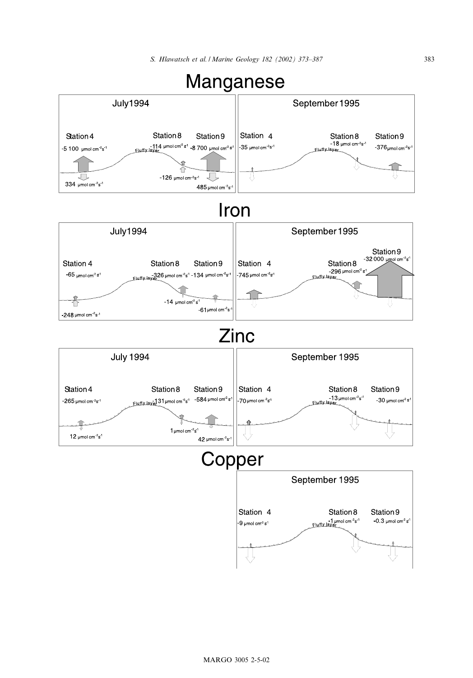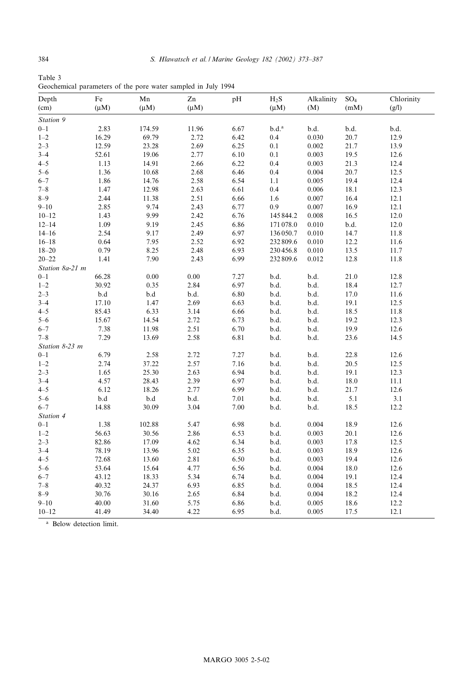| Table 3                                                       |  |  |  |  |
|---------------------------------------------------------------|--|--|--|--|
| Geochemical parameters of the pore water sampled in July 1994 |  |  |  |  |

| Depth              | $\rm Fe$     | Mn           | ${\bf Zn}$ | pH       | $H_2S$                | Alkalinity     | $SO_4$       | Chlorinity   |
|--------------------|--------------|--------------|------------|----------|-----------------------|----------------|--------------|--------------|
| (cm)               | $(\mu M)$    | $(\mu M)$    | $(\mu M)$  |          | $(\mu M)$             | (M)            | (mM)         | (g/l)        |
| Station 9          |              |              |            |          |                       |                |              |              |
| $0 - 1$            | 2.83         | 174.59       | 11.96      | 6.67     | $\rm b.d.^a$          | b.d.           | b.d.         | b.d.         |
| $1 - 2$            | 16.29        | 69.79        | 2.72       | 6.42     | $0.4\,$               | 0.030          | 20.7         | 12.9         |
| $2 - 3$            | 12.59        | 23.28        | 2.69       | 6.25     | $0.1\,$               | 0.002          | 21.7         | 13.9         |
| $3 - 4$            | 52.61        | 19.06        | 2.77       | 6.10     | 0.1                   | 0.003          | 19.5         | 12.6         |
| $4 - 5$            | 1.13         | 14.91        | 2.66       | 6.22     | 0.4                   | 0.003          | 21.3         | 12.4         |
| $5 - 6$            | 1.36         | 10.68        | 2.68       | 6.46     | 0.4                   | 0.004          | 20.7         | 12.5         |
| $6 - 7$            | 1.86         | 14.76        | 2.58       | 6.54     | 1.1                   | 0.005          | 19.4         | 12.4         |
| $7 - 8$            | 1.47         | 12.98        | 2.63       | 6.61     | 0.4                   | 0.006          | 18.1         | 12.3         |
| $8 - 9$            | 2.44         | 11.38        | 2.51       | 6.66     | 1.6                   | 0.007          | 16.4         | 12.1         |
| $9 - 10$           | 2.85         | 9.74         | 2.43       | 6.77     | 0.9                   | 0.007          | 16.9         | 12.1         |
| $10 - 12$          | 1.43         | 9.99         | 2.42       | 6.76     | 145 844.2             | 0.008          | 16.5         | 12.0         |
| $12 - 14$          | 1.09         | 9.19         | 2.45       | 6.86     | 171078.0              | 0.010          | b.d.         | 12.0         |
| $14 - 16$          | 2.54         | 9.17         | 2.49       | 6.97     | 136050.7              | 0.010          | 14.7         | 11.8         |
| $16 - 18$          | 0.64         | 7.95         | 2.52       | 6.92     |                       |                |              |              |
| $18 - 20$          | 0.79         | 8.25         | 2.48       | 6.93     | 232 809.6<br>230456.8 | 0.010<br>0.010 | 12.2<br>13.5 | 11.6<br>11.7 |
| $20 - 22$          |              |              | 2.43       |          |                       |                | 12.8         |              |
|                    | 1.41         | 7.90         |            | 6.99     | 232809.6              | 0.012          |              | 11.8         |
| Station 8a-21 m    |              | 0.00         | $0.00\,$   |          |                       | b.d.           | 21.0         |              |
| $0 - 1$<br>$1 - 2$ | 66.28        |              |            | 7.27     | b.d.                  |                |              | 12.8         |
|                    | 30.92        | 0.35         | 2.84       | 6.97     | b.d.                  | b.d.           | 18.4         | 12.7         |
| $2 - 3$            | $_{\rm b.d}$ | b.d          | b.d.       | 6.80     | b.d.                  | b.d.           | 17.0         | 11.6         |
| $3 - 4$            | 17.10        | 1.47         | 2.69       | 6.63     | b.d.                  | b.d.           | 19.1         | 12.5         |
| $4 - 5$            | 85.43        | 6.33         | 3.14       | 6.66     | b.d.                  | b.d.           | 18.5         | 11.8         |
| $5 - 6$            | 15.67        | 14.54        | 2.72       | 6.73     | b.d.                  | b.d.           | 19.2         | 12.3         |
| $6 - 7$            | 7.38         | 11.98        | 2.51       | 6.70     | b.d.                  | b.d.           | 19.9         | 12.6         |
| $7 - 8$            | 7.29         | 13.69        | 2.58       | 6.81     | b.d.                  | b.d.           | 23.6         | 14.5         |
| Station 8-23 m     |              |              |            |          |                       |                |              |              |
| $0 - 1$            | 6.79         | 2.58         | 2.72       | 7.27     | b.d.                  | b.d.           | 22.8         | 12.6         |
| $1 - 2$            | 2.74         | 37.22        | 2.57       | 7.16     | b.d.                  | b.d.           | 20.5         | 12.5         |
| $2 - 3$            | 1.65         | 25.30        | 2.63       | 6.94     | b.d.                  | b.d.           | 19.1         | 12.3         |
| $3 - 4$            | 4.57         | 28.43        | 2.39       | 6.97     | b.d.                  | b.d.           | 18.0         | $11.1\,$     |
| $4 - 5$            | 6.12         | 18.26        | 2.77       | 6.99     | b.d.                  | b.d.           | 21.7         | 12.6         |
| $5 - 6$            | $_{\rm b.d}$ | $_{\rm b.d}$ | b.d.       | 7.01     | b.d.                  | b.d.           | $5.1\,$      | $3.1\,$      |
| $6 - 7$            | 14.88        | 30.09        | 3.04       | $7.00\,$ | b.d.                  | b.d.           | 18.5         | 12.2         |
| Station 4          |              |              |            |          |                       |                |              |              |
| $0 - 1$            | 1.38         | 102.88       | 5.47       | 6.98     | b.d.                  | 0.004          | 18.9         | 12.6         |
| $1 - 2$            | 56.63        | 30.56        | 2.86       | 6.53     | b.d.                  | 0.003          | 20.1         | 12.6         |
| $2 - 3$            | 82.86        | 17.09        | 4.62       | 6.34     | b.d.                  | 0.003          | 17.8         | 12.5         |
| $3 - 4$            | 78.19        | 13.96        | 5.02       | 6.35     | b.d.                  | 0.003          | 18.9         | 12.6         |
| $4 - 5$            | 72.68        | 13.60        | 2.81       | 6.50     | b.d.                  | 0.003          | 19.4         | 12.6         |
| $5 - 6$            | 53.64        | 15.64        | 4.77       | 6.56     | b.d.                  | 0.004          | 18.0         | 12.6         |
| $6 - 7$            | 43.12        | 18.33        | 5.34       | 6.74     | b.d.                  | 0.004          | 19.1         | 12.4         |
| $7\hbox{--}8$      | 40.32        | 24.37        | 6.93       | 6.85     | b.d.                  | 0.004          | 18.5         | 12.4         |
| $8 - 9$            | 30.76        | 30.16        | 2.65       | 6.84     | b.d.                  | 0.004          | 18.2         | 12.4         |
| $9 - 10$           | 40.00        | 31.60        | 5.75       | 6.86     | b.d.                  | 0.005          | 18.6         | 12.2         |
| $10 - 12$          | 41.49        | 34.40        | 4.22       | 6.95     | b.d.                  | 0.005          | 17.5         | 12.1         |

<sup>a</sup> Below detection limit.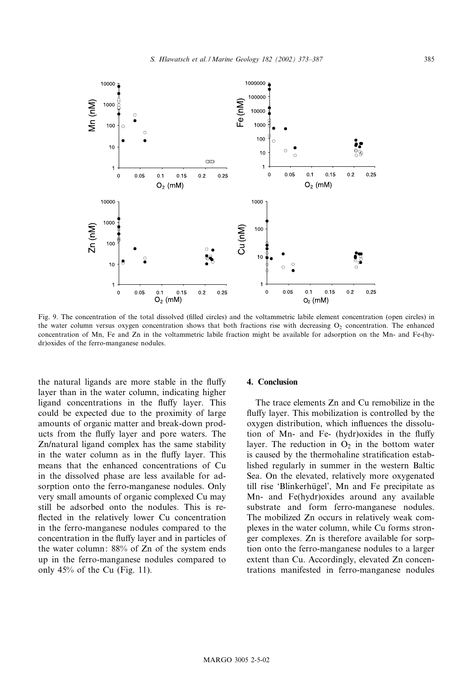

Fig. 9. The concentration of the total dissolved (filled circles) and the voltammetric labile element concentration (open circles) in the water column versus oxygen concentration shows that both fractions rise with decreasing  $O_2$  concentration. The enhanced concentration of Mn, Fe and Zn in the voltammetric labile fraction might be available for adsorption on the Mn- and Fe-(hydr)oxides of the ferro-manganese nodules.

the natural ligands are more stable in the fluffy layer than in the water column, indicating higher ligand concentrations in the fluffy layer. This could be expected due to the proximity of large amounts of organic matter and break-down products from the fluffy layer and pore waters. The Zn/natural ligand complex has the same stability in the water column as in the fluffy layer. This means that the enhanced concentrations of Cu in the dissolved phase are less available for adsorption onto the ferro-manganese nodules. Only very small amounts of organic complexed Cu may still be adsorbed onto the nodules. This is re flected in the relatively lower Cu concentration in the ferro-manganese nodules compared to the concentration in the fluffy layer and in particles of the water column: 88% of Zn of the system ends up in the ferro-manganese nodules compared to only 45% of the Cu (Fig. 11).

### 4. Conclusion

The trace elements Zn and Cu remobilize in the fluffy layer. This mobilization is controlled by the oxygen distribution, which influences the dissolution of Mn- and Fe- (hydr)oxides in the fluffy layer. The reduction in  $O_2$  in the bottom water is caused by the thermohaline stratification established regularly in summer in the western Baltic Sea. On the elevated, relatively more oxygenated till rise 'Blinkerhügel', Mn and Fe precipitate as Mn- and Fe(hydr)oxides around any available substrate and form ferro-manganese nodules. The mobilized Zn occurs in relatively weak complexes in the water column, while Cu forms stronger complexes. Zn is therefore available for sorption onto the ferro-manganese nodules to a larger extent than Cu. Accordingly, elevated Zn concentrations manifested in ferro-manganese nodules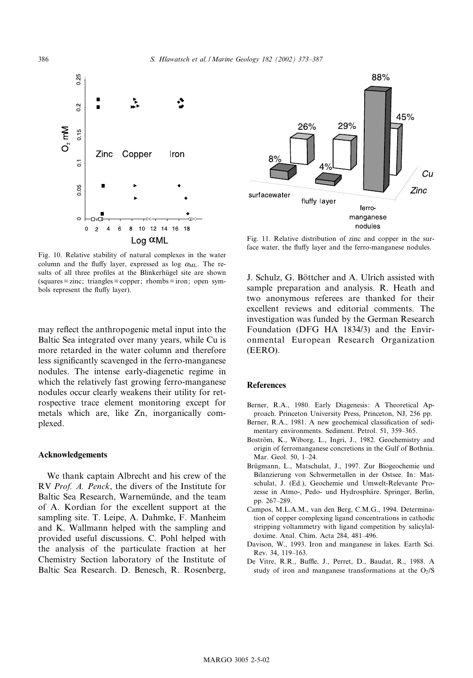

Fig. 10. Relative stability of natural complexes in the water column and the fluffy layer, expressed as log  $\alpha_{ML}$ . The results of all three profiles at the Blinkerhügel site are shown  $(squares = zinc; triangles = copper; rhombs = iron; open sym$ bols represent the fluffy layer).

may reflect the anthropogenic metal input into the Baltic Sea integrated over many years, while Cu is more retarded in the water column and therefore less significantly scavenged in the ferro-manganese nodules. The intense early-diagenetic regime in which the relatively fast growing ferro-manganese nodules occur clearly weakens their utility for retrospective trace element monitoring except for metals which are, like Zn, inorganically complexed.

#### Acknowledgements

We thank captain Albrecht and his crew of the RV Prof. A. Penck, the divers of the Institute for Baltic Sea Research, Warnemünde, and the team of A. Kordian for the excellent support at the sampling site. T. Leipe, A. Dahmke, F. Manheim and K. Wallmann helped with the sampling and provided useful discussions. C. Pohl helped with the analysis of the particulate fraction at her Chemistry Section laboratory of the Institute of Baltic Sea Research. D. Benesch, R. Rosenberg,



Fig. 11. Relative distribution of zinc and copper in the surface water, the fluffy layer and the ferro-manganese nodules.

J. Schulz, G. Böttcher and A. Ulrich assisted with sample preparation and analysis. R. Heath and two anonymous referees are thanked for their excellent reviews and editorial comments. The investigation was funded by the German Research Foundation (DFG HA 1834/3) and the Environmental European Research Organization (EERO).

#### References

- Berner, R.A., 1980. Early Diagenesis: A Theoretical Approach. Princeton University Press, Princeton, NJ, 256 pp.
- Berner, R.A., 1981. A new geochemical classification of sedimentary environments. Sediment. Petrol. 51, 359-365.
- Boström, K., Wiborg, L., Ingri, J., 1982. Geochemistry and origin of ferromanganese concretions in the Gulf of Bothnia. Mar. Geol. 50, 1-24.
- Brügmann, L., Matschulat, J., 1997. Zur Biogeochemie und Bilanzierung von Schwermetallen in der Ostsee. In: Matschulat, J. (Ed.), Geochemie und Umwelt-Relevante Prozesse in Atmo-, Pedo- und Hydrosphäre. Springer, Berlin, pp. 267-289.
- Campos, M.L.A.M., van den Berg, C.M.G., 1994. Determination of copper complexing ligand concentrations in cathodic stripping voltammetry with ligand competition by salicylaldoxime. Anal. Chim. Acta 284, 481^496.
- Davison, W., 1993. Iron and manganese in lakes. Earth Sci. Rev. 34, 119-163.
- De Vitre, R.R., Buffle, J., Perret, D., Baudat, R., 1988. A study of iron and manganese transformations at the  $O_2/S$